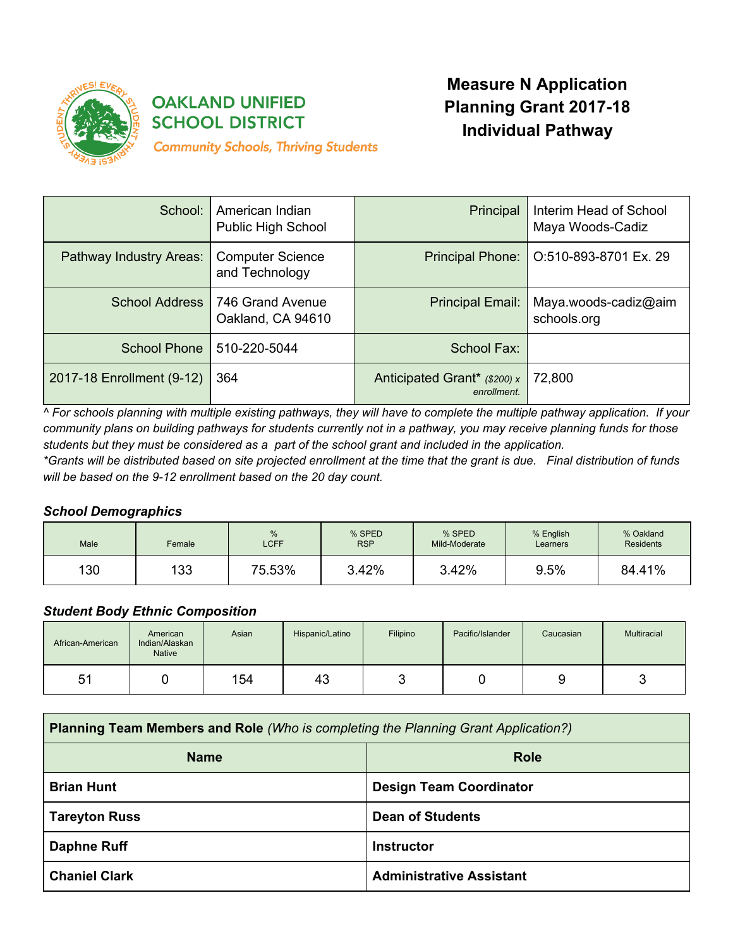

# **OAKLAND UNIFIED SCHOOL DISTRICT**

**Community Schools, Thriving Students** 

# **Measure N Application Planning Grant 2017-18 Individual Pathway**

| School:                   | American Indian<br>Public High School     | Principal                                   | Interim Head of School<br>Maya Woods-Cadiz |
|---------------------------|-------------------------------------------|---------------------------------------------|--------------------------------------------|
| Pathway Industry Areas:   | <b>Computer Science</b><br>and Technology | <b>Principal Phone:</b>                     | O:510-893-8701 Ex. 29                      |
| School Address            | 746 Grand Avenue<br>Oakland, CA 94610     | Principal Email:                            | Maya.woods-cadiz@aim<br>schools.org        |
| <b>School Phone</b>       | 510-220-5044                              | School Fax:                                 |                                            |
| 2017-18 Enrollment (9-12) | 364                                       | Anticipated Grant* (\$200) x<br>enrollment. | 72,800                                     |

^ For schools planning with multiple existing pathways, they will have to complete the multiple pathway application. If your community plans on building pathways for students currently not in a pathway, you may receive planning funds for those students but they must be considered as a part of the school grant and included in the application.

\*Grants will be distributed based on site projected enrollment at the time that the grant is due. Final distribution of funds *will be based on the 9-12 enrollment based on the 20 day count.*

# *School Demographics*

| Male | Female | %<br><b>LCFF</b> | % SPED<br><b>RSP</b> | % SPED<br>Mild-Moderate | % English<br>Learners | % Oakland<br>Residents |
|------|--------|------------------|----------------------|-------------------------|-----------------------|------------------------|
| 130  | 133    | 75.53%           | 3.42%                | 3.42%                   | 9.5%                  | 84.41%                 |

# *Student Body Ethnic Composition*

| African-American | American<br>Indian/Alaskan<br><b>Native</b> | Asian | Hispanic/Latino | Filipino | Pacific/Islander | Caucasian | Multiracial |
|------------------|---------------------------------------------|-------|-----------------|----------|------------------|-----------|-------------|
| 51               |                                             | 154   | 43              |          |                  | ╰         |             |

| <b>Planning Team Members and Role (Who is completing the Planning Grant Application?)</b> |                                 |
|-------------------------------------------------------------------------------------------|---------------------------------|
| <b>Name</b>                                                                               | <b>Role</b>                     |
| <b>Brian Hunt</b>                                                                         | <b>Design Team Coordinator</b>  |
| <b>Tareyton Russ</b>                                                                      | <b>Dean of Students</b>         |
| <b>Daphne Ruff</b>                                                                        | <b>Instructor</b>               |
| <b>Chaniel Clark</b>                                                                      | <b>Administrative Assistant</b> |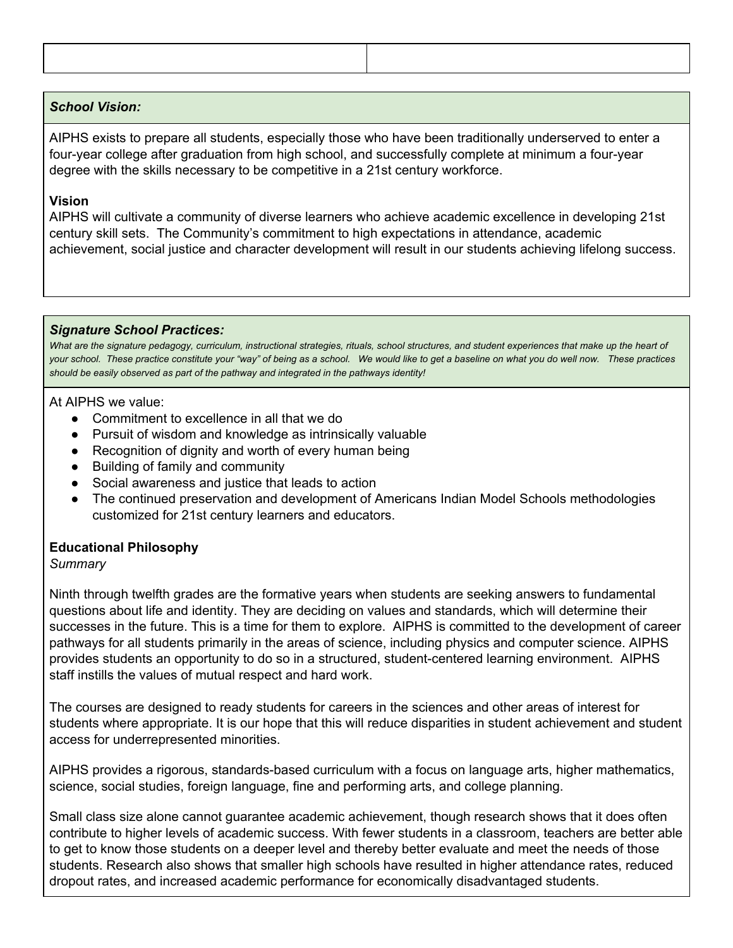#### *School Vision:*

AIPHS exists to prepare all students, especially those who have been traditionally underserved to enter a four-year college after graduation from high school, and successfully complete at minimum a four-year degree with the skills necessary to be competitive in a 21st century workforce.

#### **Vision**

AIPHS will cultivate a community of diverse learners who achieve academic excellence in developing 21st century skill sets. The Community's commitment to high expectations in attendance, academic achievement, social justice and character development will result in our students achieving lifelong success.

#### *Signature School Practices:*

What are the signature pedagogy, curriculum, instructional strategies, rituals, school structures, and student experiences that make up the heart of your school. These practice constitute your "way" of being as a school. We would like to get a baseline on what you do well now. These practices *should be easily observed as part of the pathway and integrated in the pathways identity!*

#### At AIPHS we value:

- Commitment to excellence in all that we do
- Pursuit of wisdom and knowledge as intrinsically valuable
- Recognition of dignity and worth of every human being
- Building of family and community
- Social awareness and justice that leads to action
- The continued preservation and development of Americans Indian Model Schools methodologies customized for 21st century learners and educators.

## **Educational Philosophy**

## *Summary*

Ninth through twelfth grades are the formative years when students are seeking answers to fundamental questions about life and identity. They are deciding on values and standards, which will determine their successes in the future. This is a time for them to explore. AIPHS is committed to the development of career pathways for all students primarily in the areas of science, including physics and computer science. AIPHS provides students an opportunity to do so in a structured, student-centered learning environment. AIPHS staff instills the values of mutual respect and hard work.

The courses are designed to ready students for careers in the sciences and other areas of interest for students where appropriate. It is our hope that this will reduce disparities in student achievement and student access for underrepresented minorities.

AIPHS provides a rigorous, standards-based curriculum with a focus on language arts, higher mathematics, science, social studies, foreign language, fine and performing arts, and college planning.

Small class size alone cannot guarantee academic achievement, though research shows that it does often contribute to higher levels of academic success. With fewer students in a classroom, teachers are better able to get to know those students on a deeper level and thereby better evaluate and meet the needs of those students. Research also shows that smaller high schools have resulted in higher attendance rates, reduced dropout rates, and increased academic performance for economically disadvantaged students.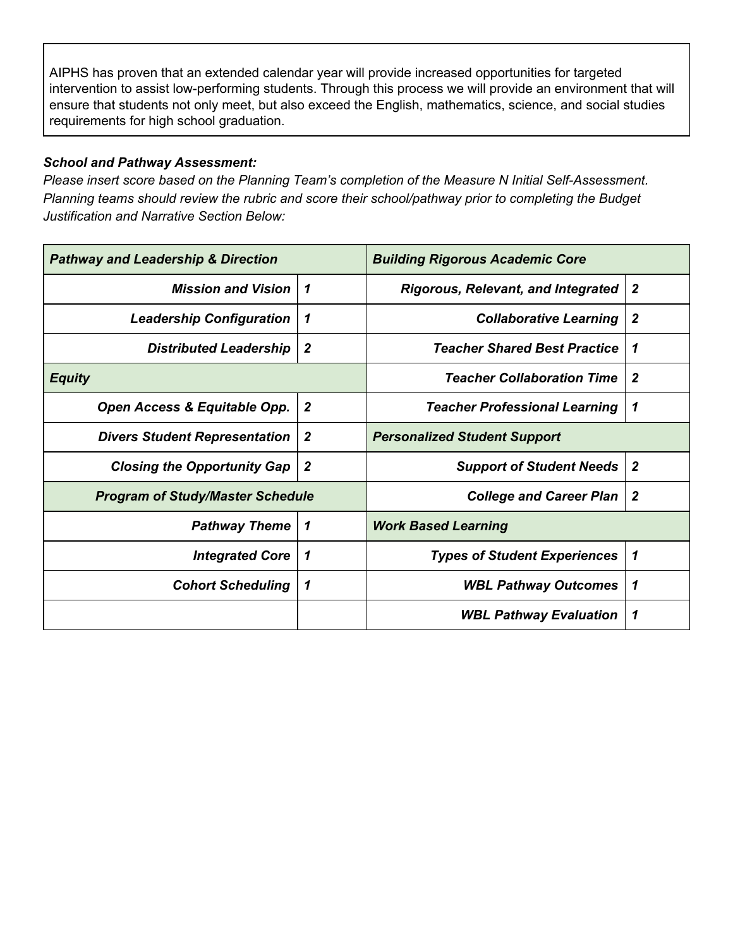AIPHS has proven that an extended calendar year will provide increased opportunities for targeted intervention to assist low-performing students. Through this process we will provide an environment that will ensure that students not only meet, but also exceed the English, mathematics, science, and social studies requirements for high school graduation.

# *School and Pathway Assessment:*

*Please insert score based on the Planning Team's completion of the Measure N Initial Self-Assessment. Planning teams should review the rubric and score their school/pathway prior to completing the Budget Justification and Narrative Section Below:*

| <b>Pathway and Leadership &amp; Direction</b> |                  | <b>Building Rigorous Academic Core</b>    |                  |
|-----------------------------------------------|------------------|-------------------------------------------|------------------|
| <b>Mission and Vision</b>                     | 1                | <b>Rigorous, Relevant, and Integrated</b> | $\boldsymbol{2}$ |
| <b>Leadership Configuration</b>               | 1                | <b>Collaborative Learning</b>             | $\overline{2}$   |
| <b>Distributed Leadership</b>                 | $\boldsymbol{2}$ | <b>Teacher Shared Best Practice</b>       | 1                |
| <b>Equity</b>                                 |                  | <b>Teacher Collaboration Time</b>         | $\boldsymbol{2}$ |
| Open Access & Equitable Opp.                  | $\boldsymbol{2}$ | <b>Teacher Professional Learning</b>      | 1                |
| <b>Divers Student Representation</b>          | $\boldsymbol{2}$ | <b>Personalized Student Support</b>       |                  |
| <b>Closing the Opportunity Gap</b>            | $\boldsymbol{2}$ | <b>Support of Student Needs</b>           | $\boldsymbol{2}$ |
| <b>Program of Study/Master Schedule</b>       |                  | <b>College and Career Plan</b>            | $\boldsymbol{2}$ |
| <b>Pathway Theme</b>                          | 1                | <b>Work Based Learning</b>                |                  |
| <b>Integrated Core</b>                        | 1                | <b>Types of Student Experiences</b>       | 1                |
| <b>Cohort Scheduling</b>                      | 1                | <b>WBL Pathway Outcomes</b>               | 1                |
|                                               |                  | <b>WBL Pathway Evaluation</b>             | 1                |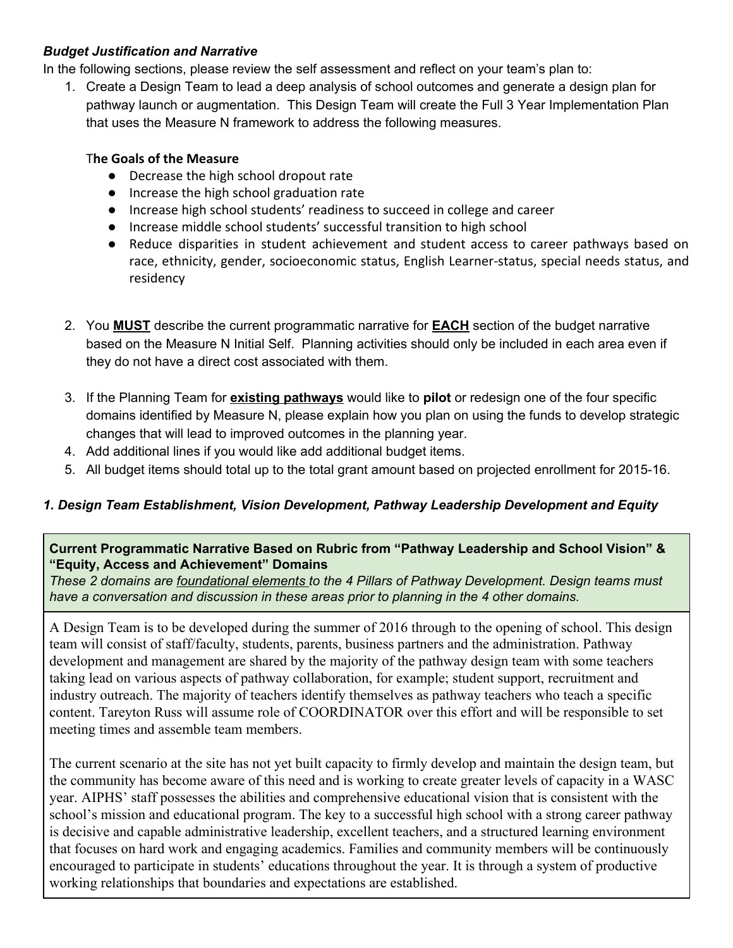# *Budget Justification and Narrative*

In the following sections, please review the self assessment and reflect on your team's plan to:

1. Create a Design Team to lead a deep analysis of school outcomes and generate a design plan for pathway launch or augmentation. This Design Team will create the Full 3 Year Implementation Plan that uses the Measure N framework to address the following measures.

## T**he Goals of the Measure**

- Decrease the high school dropout rate
- Increase the high school graduation rate
- Increase high school students' readiness to succeed in college and career
- Increase middle school students' successful transition to high school
- Reduce disparities in student achievement and student access to career pathways based on race, ethnicity, gender, socioeconomic status, English Learner-status, special needs status, and residency
- 2. You **MUST** describe the current programmatic narrative for **EACH** section of the budget narrative based on the Measure N Initial Self. Planning activities should only be included in each area even if they do not have a direct cost associated with them.
- 3. If the Planning Team for **existing pathways** would like to **pilot** or redesign one of the four specific domains identified by Measure N, please explain how you plan on using the funds to develop strategic changes that will lead to improved outcomes in the planning year.
- 4. Add additional lines if you would like add additional budget items.
- 5. All budget items should total up to the total grant amount based on projected enrollment for 2015-16.

# *1. Design Team Establishment, Vision Development, Pathway Leadership Development and Equity*

## **Current Programmatic Narrative Based on Rubric from "Pathway Leadership and School Vision" & "Equity, Access and Achievement" Domains**

*These 2 domains are foundational elements to the 4 Pillars of Pathway Development. Design teams must have a conversation and discussion in these areas prior to planning in the 4 other domains.*

A Design Team is to be developed during the summer of 2016 through to the opening of school. This design team will consist of staff/faculty, students, parents, business partners and the administration. Pathway development and management are shared by the majority of the pathway design team with some teachers taking lead on various aspects of pathway collaboration, for example; student support, recruitment and industry outreach. The majority of teachers identify themselves as pathway teachers who teach a specific content. Tareyton Russ will assume role of COORDINATOR over this effort and will be responsible to set meeting times and assemble team members.

The current scenario at the site has not yet built capacity to firmly develop and maintain the design team, but the community has become aware of this need and is working to create greater levels of capacity in a WASC year. AIPHS' staff possesses the abilities and comprehensive educational vision that is consistent with the school's mission and educational program. The key to a successful high school with a strong career pathway is decisive and capable administrative leadership, excellent teachers, and a structured learning environment that focuses on hard work and engaging academics. Families and community members will be continuously encouraged to participate in students' educations throughout the year. It is through a system of productive working relationships that boundaries and expectations are established.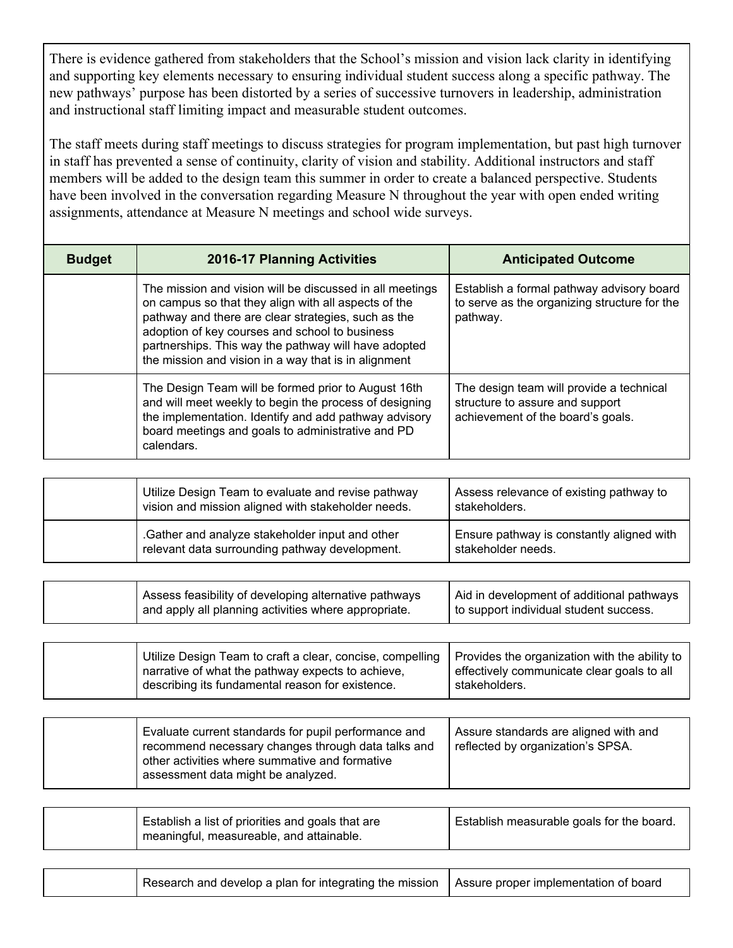There is evidence gathered from stakeholders that the School's mission and vision lack clarity in identifying and supporting key elements necessary to ensuring individual student success along a specific pathway. The new pathways' purpose has been distorted by a series of successive turnovers in leadership, administration and instructional staff limiting impact and measurable student outcomes.

The staff meets during staff meetings to discuss strategies for program implementation, but past high turnover in staff has prevented a sense of continuity, clarity of vision and stability. Additional instructors and staff members will be added to the design team this summer in order to create a balanced perspective. Students have been involved in the conversation regarding Measure N throughout the year with open ended writing assignments, attendance at Measure N meetings and school wide surveys.

| <b>Budget</b> | <b>2016-17 Planning Activities</b>                                                                                                                                                                                                                                                                                                        | <b>Anticipated Outcome</b>                                                                                       |
|---------------|-------------------------------------------------------------------------------------------------------------------------------------------------------------------------------------------------------------------------------------------------------------------------------------------------------------------------------------------|------------------------------------------------------------------------------------------------------------------|
|               | The mission and vision will be discussed in all meetings<br>on campus so that they align with all aspects of the<br>pathway and there are clear strategies, such as the<br>adoption of key courses and school to business<br>partnerships. This way the pathway will have adopted<br>the mission and vision in a way that is in alignment | Establish a formal pathway advisory board<br>to serve as the organizing structure for the<br>pathway.            |
|               | The Design Team will be formed prior to August 16th<br>and will meet weekly to begin the process of designing<br>the implementation. Identify and add pathway advisory<br>board meetings and goals to administrative and PD<br>calendars.                                                                                                 | The design team will provide a technical<br>structure to assure and support<br>achievement of the board's goals. |
|               |                                                                                                                                                                                                                                                                                                                                           |                                                                                                                  |
|               | Utilize Design Team to evaluate and revise pathway<br>vision and mission aligned with stakeholder needs.                                                                                                                                                                                                                                  | Assess relevance of existing pathway to<br>stakeholders.                                                         |

| <b>VISION AND MISSION ANGLICA WILL SLANCHOLUT HEEDS.</b>                                          | 31anchoide 3.                                                   |
|---------------------------------------------------------------------------------------------------|-----------------------------------------------------------------|
| .Gather and analyze stakeholder input and other<br>relevant data surrounding pathway development. | Ensure pathway is constantly aligned with<br>stakeholder needs. |

| Assess feasibility of developing alternative pathways | Aid in development of additional pathways |
|-------------------------------------------------------|-------------------------------------------|
| and apply all planning activities where appropriate.  | to support individual student success.    |

| Utilize Design Team to craft a clear, concise, compelling | Provides the organization with the ability to |
|-----------------------------------------------------------|-----------------------------------------------|
| narrative of what the pathway expects to achieve,         | effectively communicate clear goals to all    |
| describing its fundamental reason for existence.          | stakeholders.                                 |

| Evaluate current standards for pupil performance and<br>recommend necessary changes through data talks and<br>other activities where summative and formative<br>assessment data might be analyzed. | Assure standards are aligned with and<br>reflected by organization's SPSA. |
|----------------------------------------------------------------------------------------------------------------------------------------------------------------------------------------------------|----------------------------------------------------------------------------|
|----------------------------------------------------------------------------------------------------------------------------------------------------------------------------------------------------|----------------------------------------------------------------------------|

| Establish a list of priorities and goals that are<br>meaningful, measureable, and attainable. | Establish measurable goals for the board. |
|-----------------------------------------------------------------------------------------------|-------------------------------------------|
|                                                                                               |                                           |

| Research and develop a plan for integrating the mission   Assure proper implementation of board |
|-------------------------------------------------------------------------------------------------|
|-------------------------------------------------------------------------------------------------|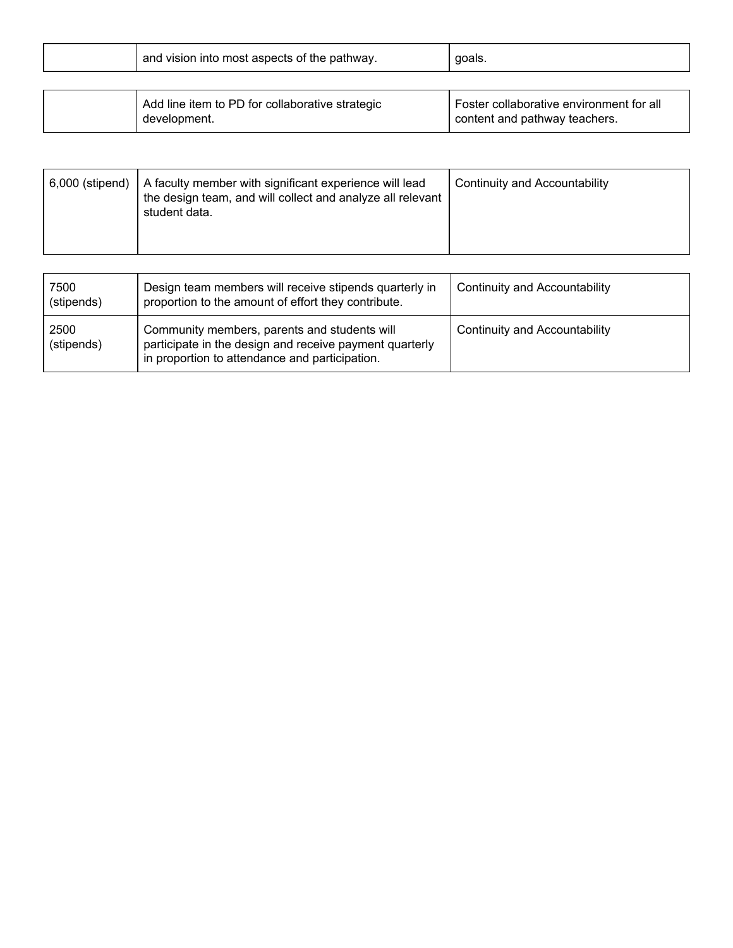|  | and vision into most aspects of the pathway. | goals. |  |
|--|----------------------------------------------|--------|--|
|--|----------------------------------------------|--------|--|

| Add line item to PD for collaborative strategic<br>development. | Foster collaborative environment for all<br>content and pathway teachers. |
|-----------------------------------------------------------------|---------------------------------------------------------------------------|
|                                                                 |                                                                           |

| A faculty member with significant experience will lead<br>6,000 (stipend)<br>the design team, and will collect and analyze all relevant<br>student data. | Continuity and Accountability |
|----------------------------------------------------------------------------------------------------------------------------------------------------------|-------------------------------|
|----------------------------------------------------------------------------------------------------------------------------------------------------------|-------------------------------|

| 7500<br>(stipends) | Design team members will receive stipends quarterly in<br>proportion to the amount of effort they contribute.                                             | <b>Continuity and Accountability</b> |
|--------------------|-----------------------------------------------------------------------------------------------------------------------------------------------------------|--------------------------------------|
| 2500<br>(stipends) | Community members, parents and students will<br>participate in the design and receive payment quarterly<br>in proportion to attendance and participation. | Continuity and Accountability        |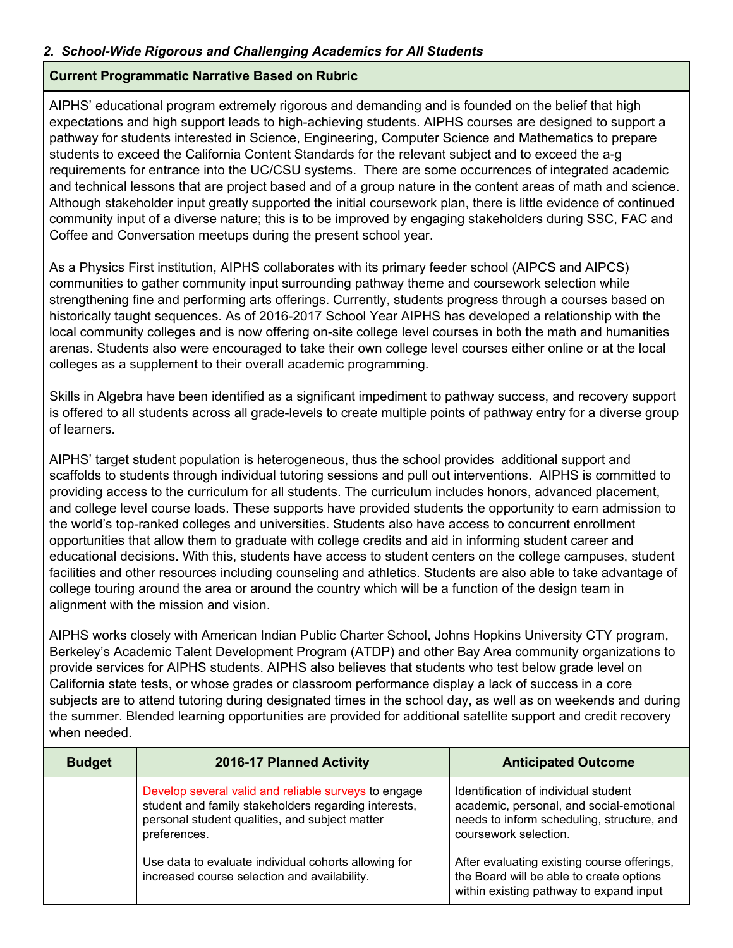## *2. School-Wide Rigorous and Challenging Academics for All Students*

#### **Current Programmatic Narrative Based on Rubric**

AIPHS' educational program extremely rigorous and demanding and is founded on the belief that high expectations and high support leads to high-achieving students. AIPHS courses are designed to support a pathway for students interested in Science, Engineering, Computer Science and Mathematics to prepare students to exceed the California Content Standards for the relevant subject and to exceed the a-g requirements for entrance into the UC/CSU systems. There are some occurrences of integrated academic and technical lessons that are project based and of a group nature in the content areas of math and science. Although stakeholder input greatly supported the initial coursework plan, there is little evidence of continued community input of a diverse nature; this is to be improved by engaging stakeholders during SSC, FAC and Coffee and Conversation meetups during the present school year.

As a Physics First institution, AIPHS collaborates with its primary feeder school (AIPCS and AIPCS) communities to gather community input surrounding pathway theme and coursework selection while strengthening fine and performing arts offerings. Currently, students progress through a courses based on historically taught sequences. As of 2016-2017 School Year AIPHS has developed a relationship with the local community colleges and is now offering on-site college level courses in both the math and humanities arenas. Students also were encouraged to take their own college level courses either online or at the local colleges as a supplement to their overall academic programming.

Skills in Algebra have been identified as a significant impediment to pathway success, and recovery support is offered to all students across all grade-levels to create multiple points of pathway entry for a diverse group of learners.

AIPHS' target student population is heterogeneous, thus the school provides additional support and scaffolds to students through individual tutoring sessions and pull out interventions. AIPHS is committed to providing access to the curriculum for all students. The curriculum includes honors, advanced placement, and college level course loads. These supports have provided students the opportunity to earn admission to the world's top-ranked colleges and universities. Students also have access to concurrent enrollment opportunities that allow them to graduate with college credits and aid in informing student career and educational decisions. With this, students have access to student centers on the college campuses, student facilities and other resources including counseling and athletics. Students are also able to take advantage of college touring around the area or around the country which will be a function of the design team in alignment with the mission and vision.

AIPHS works closely with American Indian Public Charter School, Johns Hopkins University CTY program, Berkeley's Academic Talent Development Program (ATDP) and other Bay Area community organizations to provide services for AIPHS students. AIPHS also believes that students who test below grade level on California state tests, or whose grades or classroom performance display a lack of success in a core subjects are to attend tutoring during designated times in the school day, as well as on weekends and during the summer. Blended learning opportunities are provided for additional satellite support and credit recovery when needed.

| <b>Budget</b> | 2016-17 Planned Activity                                                                                                                                                       | <b>Anticipated Outcome</b>                                                                                                                              |
|---------------|--------------------------------------------------------------------------------------------------------------------------------------------------------------------------------|---------------------------------------------------------------------------------------------------------------------------------------------------------|
|               | Develop several valid and reliable surveys to engage<br>student and family stakeholders regarding interests,<br>personal student qualities, and subject matter<br>preferences. | Identification of individual student<br>academic, personal, and social-emotional<br>needs to inform scheduling, structure, and<br>coursework selection. |
|               | Use data to evaluate individual cohorts allowing for<br>increased course selection and availability.                                                                           | After evaluating existing course offerings,<br>the Board will be able to create options<br>within existing pathway to expand input                      |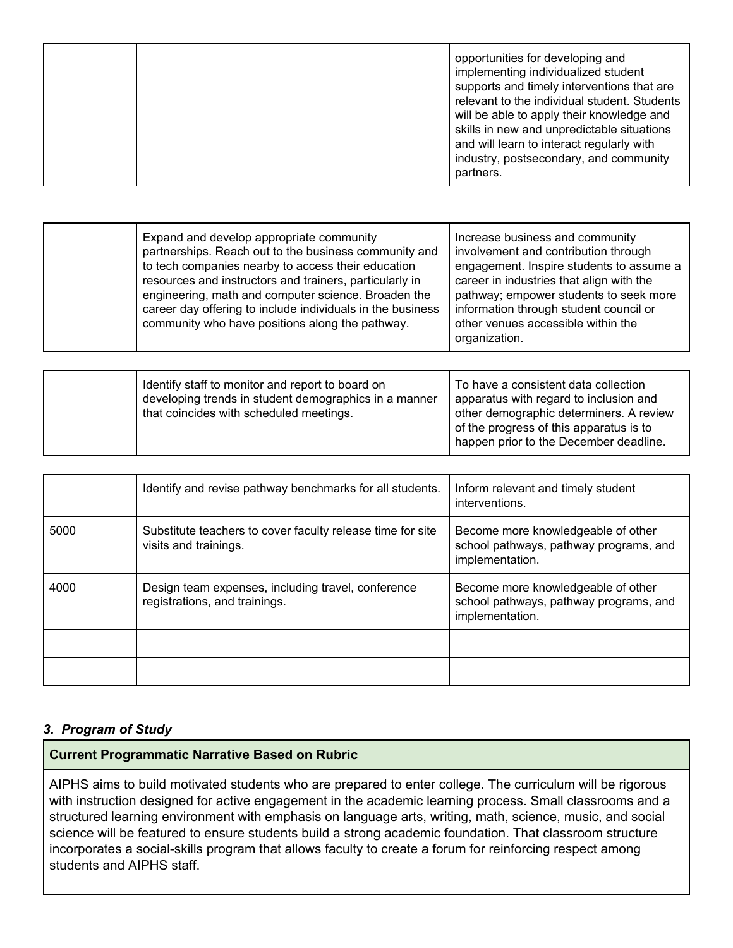|  |  | opportunities for developing and<br>implementing individualized student<br>supports and timely interventions that are<br>relevant to the individual student. Students<br>will be able to apply their knowledge and<br>skills in new and unpredictable situations<br>and will learn to interact regularly with<br>industry, postsecondary, and community<br>partners. |
|--|--|----------------------------------------------------------------------------------------------------------------------------------------------------------------------------------------------------------------------------------------------------------------------------------------------------------------------------------------------------------------------|
|--|--|----------------------------------------------------------------------------------------------------------------------------------------------------------------------------------------------------------------------------------------------------------------------------------------------------------------------------------------------------------------------|

| Expand and develop appropriate community<br>partnerships. Reach out to the business community and<br>to tech companies nearby to access their education<br>resources and instructors and trainers, particularly in<br>engineering, math and computer science. Broaden the<br>career day offering to include individuals in the business<br>community who have positions along the pathway. | Increase business and community<br>involvement and contribution through<br>engagement. Inspire students to assume a<br>career in industries that align with the<br>pathway; empower students to seek more<br>information through student council or<br>other venues accessible within the<br>organization. |
|--------------------------------------------------------------------------------------------------------------------------------------------------------------------------------------------------------------------------------------------------------------------------------------------------------------------------------------------------------------------------------------------|------------------------------------------------------------------------------------------------------------------------------------------------------------------------------------------------------------------------------------------------------------------------------------------------------------|
|--------------------------------------------------------------------------------------------------------------------------------------------------------------------------------------------------------------------------------------------------------------------------------------------------------------------------------------------------------------------------------------------|------------------------------------------------------------------------------------------------------------------------------------------------------------------------------------------------------------------------------------------------------------------------------------------------------------|

|  | Identify staff to monitor and report to board on      | To have a consistent data collection    |
|--|-------------------------------------------------------|-----------------------------------------|
|  | developing trends in student demographics in a manner | apparatus with regard to inclusion and  |
|  | that coincides with scheduled meetings.               | other demographic determiners. A review |
|  |                                                       | of the progress of this apparatus is to |
|  |                                                       | happen prior to the December deadline.  |

|      | Identify and revise pathway benchmarks for all students.                            | Inform relevant and timely student<br>interventions.                                            |
|------|-------------------------------------------------------------------------------------|-------------------------------------------------------------------------------------------------|
| 5000 | Substitute teachers to cover faculty release time for site<br>visits and trainings. | Become more knowledgeable of other<br>school pathways, pathway programs, and<br>implementation. |
| 4000 | Design team expenses, including travel, conference<br>registrations, and trainings. | Become more knowledgeable of other<br>school pathways, pathway programs, and<br>implementation. |
|      |                                                                                     |                                                                                                 |
|      |                                                                                     |                                                                                                 |

## *3. Program of Study*

#### **Current Programmatic Narrative Based on Rubric**

AIPHS aims to build motivated students who are prepared to enter college. The curriculum will be rigorous with instruction designed for active engagement in the academic learning process. Small classrooms and a structured learning environment with emphasis on language arts, writing, math, science, music, and social science will be featured to ensure students build a strong academic foundation. That classroom structure incorporates a social-skills program that allows faculty to create a forum for reinforcing respect among students and AIPHS staff.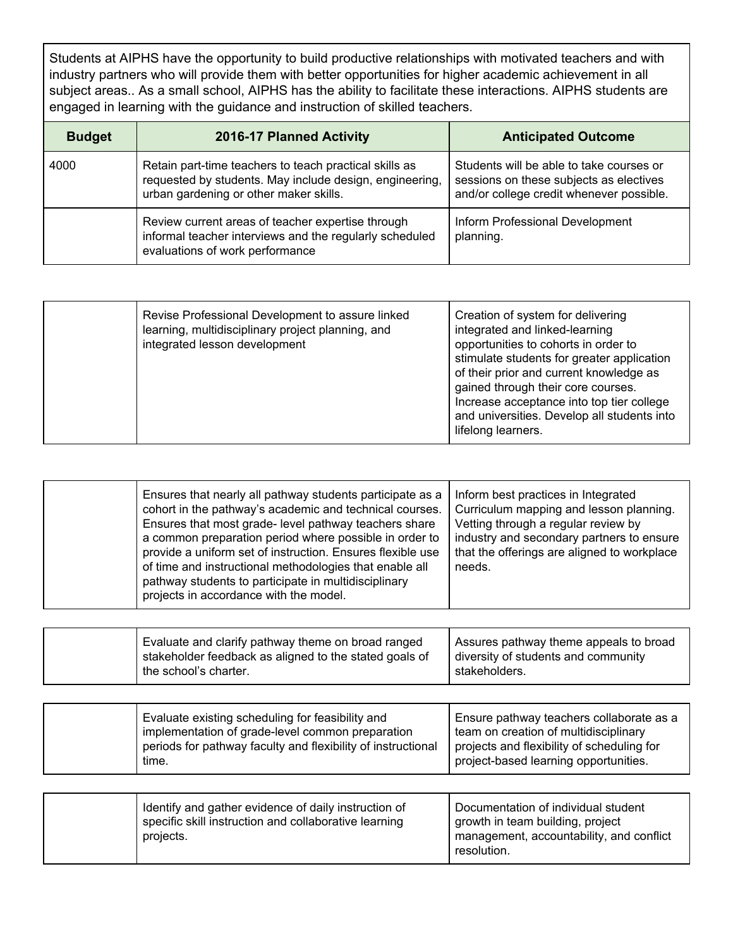Students at AIPHS have the opportunity to build productive relationships with motivated teachers and with industry partners who will provide them with better opportunities for higher academic achievement in all subject areas.. As a small school, AIPHS has the ability to facilitate these interactions. AIPHS students are engaged in learning with the guidance and instruction of skilled teachers.

| <b>Budget</b> | 2016-17 Planned Activity                                                                                                                                    | <b>Anticipated Outcome</b>                                                                                                      |
|---------------|-------------------------------------------------------------------------------------------------------------------------------------------------------------|---------------------------------------------------------------------------------------------------------------------------------|
| 4000          | Retain part-time teachers to teach practical skills as<br>requested by students. May include design, engineering,<br>urban gardening or other maker skills. | Students will be able to take courses or<br>sessions on these subjects as electives<br>and/or college credit whenever possible. |
|               | Review current areas of teacher expertise through<br>informal teacher interviews and the regularly scheduled<br>evaluations of work performance             | Inform Professional Development<br>planning.                                                                                    |

|  | Revise Professional Development to assure linked<br>learning, multidisciplinary project planning, and<br>integrated lesson development | Creation of system for delivering<br>integrated and linked-learning<br>opportunities to cohorts in order to<br>stimulate students for greater application<br>of their prior and current knowledge as<br>gained through their core courses.<br>Increase acceptance into top tier college<br>and universities. Develop all students into<br>lifelong learners. |
|--|----------------------------------------------------------------------------------------------------------------------------------------|--------------------------------------------------------------------------------------------------------------------------------------------------------------------------------------------------------------------------------------------------------------------------------------------------------------------------------------------------------------|
|--|----------------------------------------------------------------------------------------------------------------------------------------|--------------------------------------------------------------------------------------------------------------------------------------------------------------------------------------------------------------------------------------------------------------------------------------------------------------------------------------------------------------|

| Ensures that nearly all pathway students participate as a<br>cohort in the pathway's academic and technical courses.<br>Ensures that most grade-level pathway teachers share<br>a common preparation period where possible in order to<br>provide a uniform set of instruction. Ensures flexible use<br>of time and instructional methodologies that enable all<br>pathway students to participate in multidisciplinary<br>projects in accordance with the model. | Inform best practices in Integrated<br>Curriculum mapping and lesson planning.<br>Vetting through a regular review by<br>industry and secondary partners to ensure<br>that the offerings are aligned to workplace<br>needs. |
|-------------------------------------------------------------------------------------------------------------------------------------------------------------------------------------------------------------------------------------------------------------------------------------------------------------------------------------------------------------------------------------------------------------------------------------------------------------------|-----------------------------------------------------------------------------------------------------------------------------------------------------------------------------------------------------------------------------|
|                                                                                                                                                                                                                                                                                                                                                                                                                                                                   |                                                                                                                                                                                                                             |
| Evaluate and clarify pathway theme on broad ranged<br>stakeholder feedback as aligned to the stated goals of<br>the school's charter.                                                                                                                                                                                                                                                                                                                             | Assures pathway theme appeals to broad<br>diversity of students and community<br>stakeholders.                                                                                                                              |
|                                                                                                                                                                                                                                                                                                                                                                                                                                                                   |                                                                                                                                                                                                                             |
| Evaluate existing scheduling for feasibility and<br>implementation of grade-level common preparation<br>periods for pathway faculty and flexibility of instructional<br>time.                                                                                                                                                                                                                                                                                     | Ensure pathway teachers collaborate as a<br>team on creation of multidisciplinary<br>projects and flexibility of scheduling for<br>project-based learning opportunities.                                                    |
|                                                                                                                                                                                                                                                                                                                                                                                                                                                                   |                                                                                                                                                                                                                             |
| Identify and gather evidence of daily instruction of<br>specific skill instruction and collaborative learning<br>projects.                                                                                                                                                                                                                                                                                                                                        | Documentation of individual student<br>growth in team building, project<br>management, accountability, and conflict                                                                                                         |

resolution.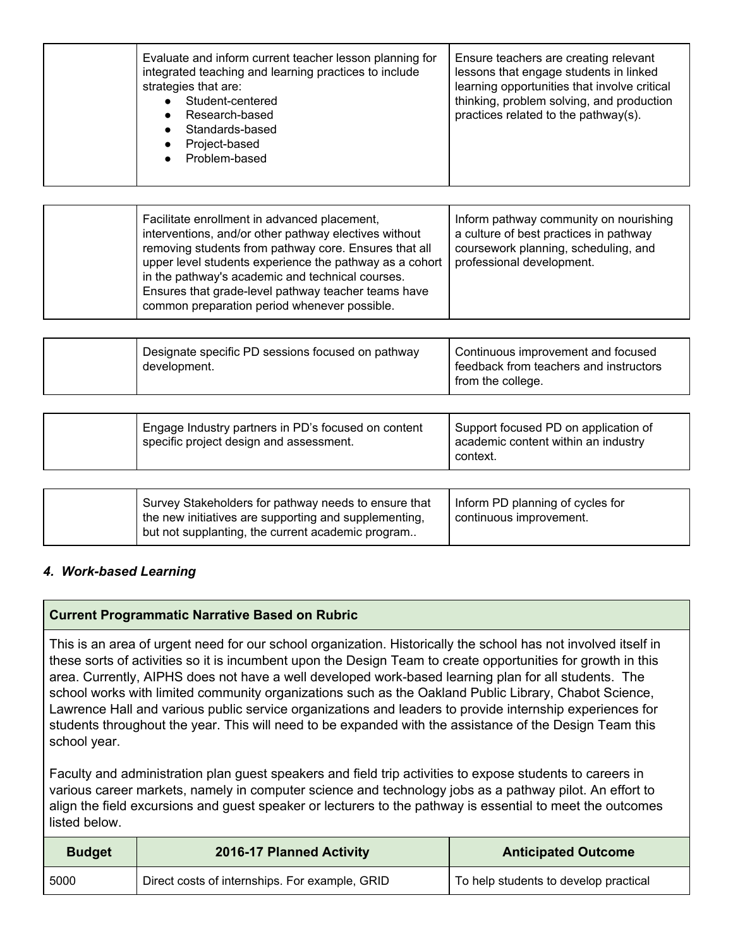|  | Evaluate and inform current teacher lesson planning for<br>integrated teaching and learning practices to include<br>strategies that are:<br>Student-centered<br>Research-based<br>Standards-based<br>$\bullet$<br>Project-based<br>$\bullet$<br>Problem-based | Ensure teachers are creating relevant<br>lessons that engage students in linked<br>learning opportunities that involve critical<br>thinking, problem solving, and production<br>practices related to the pathway(s). |
|--|---------------------------------------------------------------------------------------------------------------------------------------------------------------------------------------------------------------------------------------------------------------|----------------------------------------------------------------------------------------------------------------------------------------------------------------------------------------------------------------------|
|--|---------------------------------------------------------------------------------------------------------------------------------------------------------------------------------------------------------------------------------------------------------------|----------------------------------------------------------------------------------------------------------------------------------------------------------------------------------------------------------------------|

| professional development.<br>upper level students experience the pathway as a cohort<br>in the pathway's academic and technical courses.<br>Ensures that grade-level pathway teacher teams have<br>common preparation period whenever possible. |
|-------------------------------------------------------------------------------------------------------------------------------------------------------------------------------------------------------------------------------------------------|
|-------------------------------------------------------------------------------------------------------------------------------------------------------------------------------------------------------------------------------------------------|

| Designate specific PD sessions focused on pathway<br>development. | Continuous improvement and focused<br>feedback from teachers and instructors<br>from the college. |
|-------------------------------------------------------------------|---------------------------------------------------------------------------------------------------|
|-------------------------------------------------------------------|---------------------------------------------------------------------------------------------------|

| Engage Industry partners in PD's focused on content<br>specific project design and assessment. | Support focused PD on application of<br>academic content within an industry<br>context. |
|------------------------------------------------------------------------------------------------|-----------------------------------------------------------------------------------------|
|------------------------------------------------------------------------------------------------|-----------------------------------------------------------------------------------------|

| Survey Stakeholders for pathway needs to ensure that<br>the new initiatives are supporting and supplementing,<br>but not supplanting, the current academic program | Inform PD planning of cycles for<br>continuous improvement. |
|--------------------------------------------------------------------------------------------------------------------------------------------------------------------|-------------------------------------------------------------|
|--------------------------------------------------------------------------------------------------------------------------------------------------------------------|-------------------------------------------------------------|

## *4. Work-based Learning*

## **Current Programmatic Narrative Based on Rubric**

This is an area of urgent need for our school organization. Historically the school has not involved itself in these sorts of activities so it is incumbent upon the Design Team to create opportunities for growth in this area. Currently, AIPHS does not have a well developed work-based learning plan for all students. The school works with limited community organizations such as the Oakland Public Library, Chabot Science, Lawrence Hall and various public service organizations and leaders to provide internship experiences for students throughout the year. This will need to be expanded with the assistance of the Design Team this school year.

Faculty and administration plan guest speakers and field trip activities to expose students to careers in various career markets, namely in computer science and technology jobs as a pathway pilot. An effort to align the field excursions and guest speaker or lecturers to the pathway is essential to meet the outcomes listed below.

| <b>Budget</b> | 2016-17 Planned Activity                       | <b>Anticipated Outcome</b>            |
|---------------|------------------------------------------------|---------------------------------------|
| 5000          | Direct costs of internships. For example, GRID | To help students to develop practical |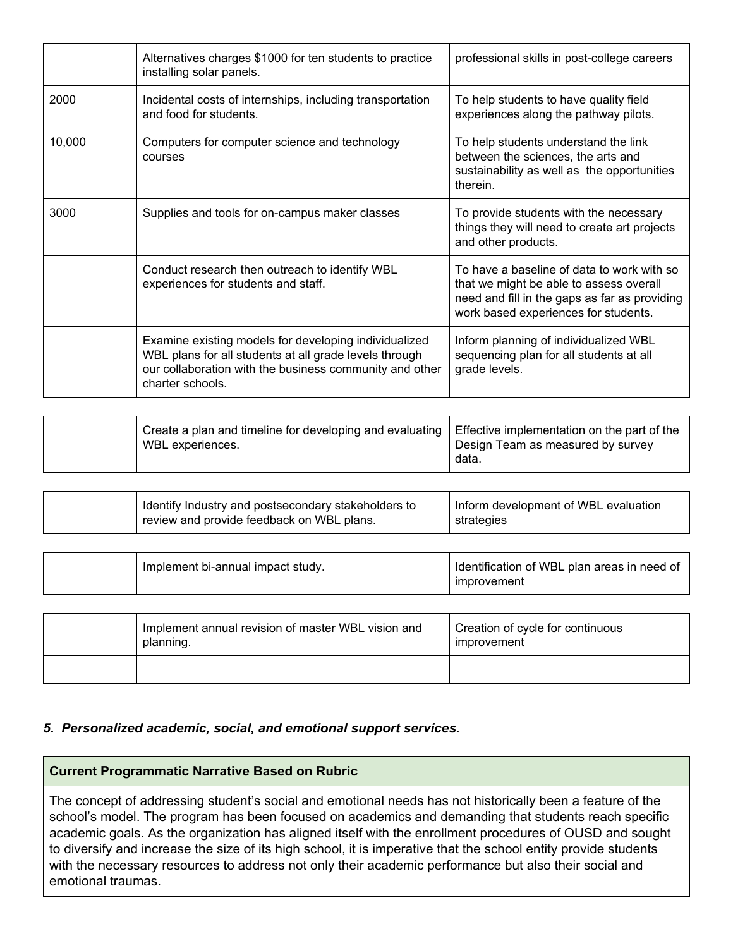|        | Alternatives charges \$1000 for ten students to practice<br>installing solar panels.                                                                                                           | professional skills in post-college careers                                                                                                                                    |
|--------|------------------------------------------------------------------------------------------------------------------------------------------------------------------------------------------------|--------------------------------------------------------------------------------------------------------------------------------------------------------------------------------|
| 2000   | Incidental costs of internships, including transportation<br>and food for students.                                                                                                            | To help students to have quality field<br>experiences along the pathway pilots.                                                                                                |
| 10,000 | Computers for computer science and technology<br>courses                                                                                                                                       | To help students understand the link<br>between the sciences, the arts and<br>sustainability as well as the opportunities<br>therein.                                          |
| 3000   | Supplies and tools for on-campus maker classes                                                                                                                                                 | To provide students with the necessary<br>things they will need to create art projects<br>and other products.                                                                  |
|        | Conduct research then outreach to identify WBL<br>experiences for students and staff.                                                                                                          | To have a baseline of data to work with so<br>that we might be able to assess overall<br>need and fill in the gaps as far as providing<br>work based experiences for students. |
|        | Examine existing models for developing individualized<br>WBL plans for all students at all grade levels through<br>our collaboration with the business community and other<br>charter schools. | Inform planning of individualized WBL<br>sequencing plan for all students at all<br>grade levels.                                                                              |

| Create a plan and timeline for developing and evaluating   Effective implementation on the part of the | Design Team as measured by survey |
|--------------------------------------------------------------------------------------------------------|-----------------------------------|
| WBL experiences.                                                                                       | data.                             |

| Identify Industry and postsecondary stakeholders to | Inform development of WBL evaluation |
|-----------------------------------------------------|--------------------------------------|
| review and provide feedback on WBL plans.           | strategies                           |

| Implement bi-annual impact study.                               | Identification of WBL plan areas in need of<br>improvement |
|-----------------------------------------------------------------|------------------------------------------------------------|
|                                                                 |                                                            |
| Implement annual revision of master WBL vision and<br>planning. | Creation of cycle for continuous<br>improvement            |
|                                                                 |                                                            |

## *5. Personalized academic, social, and emotional support services.*

## **Current Programmatic Narrative Based on Rubric**

The concept of addressing student's social and emotional needs has not historically been a feature of the school's model. The program has been focused on academics and demanding that students reach specific academic goals. As the organization has aligned itself with the enrollment procedures of OUSD and sought to diversify and increase the size of its high school, it is imperative that the school entity provide students with the necessary resources to address not only their academic performance but also their social and emotional traumas.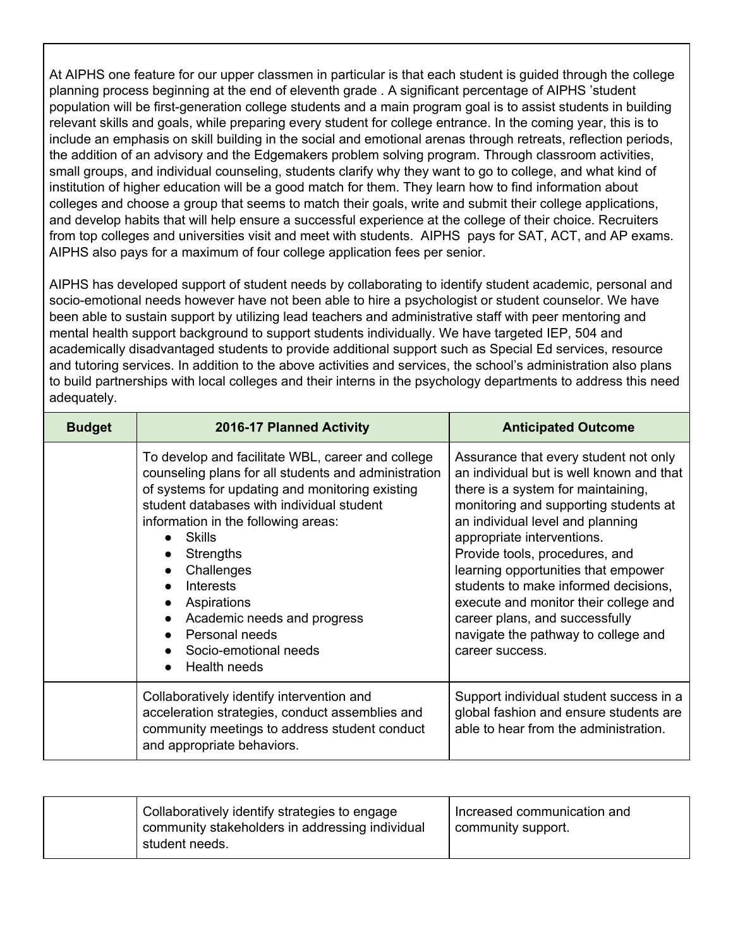At AIPHS one feature for our upper classmen in particular is that each student is guided through the college planning process beginning at the end of eleventh grade . A significant percentage of AIPHS 'student population will be first-generation college students and a main program goal is to assist students in building relevant skills and goals, while preparing every student for college entrance. In the coming year, this is to include an emphasis on skill building in the social and emotional arenas through retreats, reflection periods, the addition of an advisory and the Edgemakers problem solving program. Through classroom activities, small groups, and individual counseling, students clarify why they want to go to college, and what kind of institution of higher education will be a good match for them. They learn how to find information about colleges and choose a group that seems to match their goals, write and submit their college applications, and develop habits that will help ensure a successful experience at the college of their choice. Recruiters from top colleges and universities visit and meet with students. AIPHS pays for SAT, ACT, and AP exams. AIPHS also pays for a maximum of four college application fees per senior.

AIPHS has developed support of student needs by collaborating to identify student academic, personal and socio-emotional needs however have not been able to hire a psychologist or student counselor. We have been able to sustain support by utilizing lead teachers and administrative staff with peer mentoring and mental health support background to support students individually. We have targeted IEP, 504 and academically disadvantaged students to provide additional support such as Special Ed services, resource and tutoring services. In addition to the above activities and services, the school's administration also plans to build partnerships with local colleges and their interns in the psychology departments to address this need adequately.

| <b>Budget</b> | 2016-17 Planned Activity                                                                                                                                                                                                                                                                                                                                                                                                                                                             | <b>Anticipated Outcome</b>                                                                                                                                                                                                                                                                                                                                                                                                                                                               |
|---------------|--------------------------------------------------------------------------------------------------------------------------------------------------------------------------------------------------------------------------------------------------------------------------------------------------------------------------------------------------------------------------------------------------------------------------------------------------------------------------------------|------------------------------------------------------------------------------------------------------------------------------------------------------------------------------------------------------------------------------------------------------------------------------------------------------------------------------------------------------------------------------------------------------------------------------------------------------------------------------------------|
|               | To develop and facilitate WBL, career and college<br>counseling plans for all students and administration<br>of systems for updating and monitoring existing<br>student databases with individual student<br>information in the following areas:<br><b>Skills</b><br><b>Strengths</b><br>Challenges<br>$\bullet$<br><b>Interests</b><br>$\bullet$<br>Aspirations<br>$\bullet$<br>Academic needs and progress<br>$\bullet$<br>Personal needs<br>Socio-emotional needs<br>Health needs | Assurance that every student not only<br>an individual but is well known and that<br>there is a system for maintaining,<br>monitoring and supporting students at<br>an individual level and planning<br>appropriate interventions.<br>Provide tools, procedures, and<br>learning opportunities that empower<br>students to make informed decisions,<br>execute and monitor their college and<br>career plans, and successfully<br>navigate the pathway to college and<br>career success. |
|               | Collaboratively identify intervention and<br>acceleration strategies, conduct assemblies and<br>community meetings to address student conduct<br>and appropriate behaviors.                                                                                                                                                                                                                                                                                                          | Support individual student success in a<br>global fashion and ensure students are<br>able to hear from the administration.                                                                                                                                                                                                                                                                                                                                                               |

| Collaboratively identify strategies to engage<br>community stakeholders in addressing individual<br>student needs. | Increased communication and<br>community support. |
|--------------------------------------------------------------------------------------------------------------------|---------------------------------------------------|
|                                                                                                                    |                                                   |